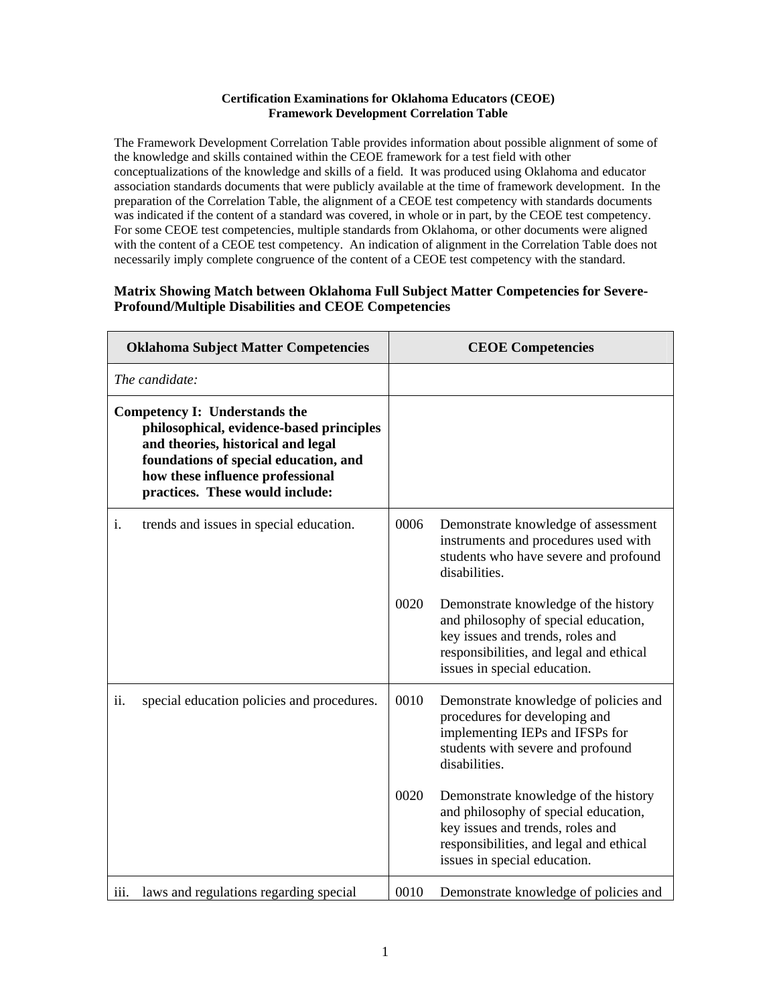## **Certification Examinations for Oklahoma Educators (CEOE) Framework Development Correlation Table**

The Framework Development Correlation Table provides information about possible alignment of some of the knowledge and skills contained within the CEOE framework for a test field with other conceptualizations of the knowledge and skills of a field. It was produced using Oklahoma and educator association standards documents that were publicly available at the time of framework development. In the preparation of the Correlation Table, the alignment of a CEOE test competency with standards documents was indicated if the content of a standard was covered, in whole or in part, by the CEOE test competency. For some CEOE test competencies, multiple standards from Oklahoma, or other documents were aligned with the content of a CEOE test competency. An indication of alignment in the Correlation Table does not necessarily imply complete congruence of the content of a CEOE test competency with the standard.

## **Matrix Showing Match between Oklahoma Full Subject Matter Competencies for Severe-Profound/Multiple Disabilities and CEOE Competencies**

| <b>Oklahoma Subject Matter Competencies</b> |                                                                                                                                                                                                                                        | <b>CEOE Competencies</b> |                                                                                                                                                                                             |
|---------------------------------------------|----------------------------------------------------------------------------------------------------------------------------------------------------------------------------------------------------------------------------------------|--------------------------|---------------------------------------------------------------------------------------------------------------------------------------------------------------------------------------------|
| The candidate:                              |                                                                                                                                                                                                                                        |                          |                                                                                                                                                                                             |
|                                             | <b>Competency I: Understands the</b><br>philosophical, evidence-based principles<br>and theories, historical and legal<br>foundations of special education, and<br>how these influence professional<br>practices. These would include: |                          |                                                                                                                                                                                             |
| i.                                          | trends and issues in special education.                                                                                                                                                                                                | 0006                     | Demonstrate knowledge of assessment<br>instruments and procedures used with<br>students who have severe and profound<br>disabilities.                                                       |
|                                             |                                                                                                                                                                                                                                        | 0020                     | Demonstrate knowledge of the history<br>and philosophy of special education,<br>key issues and trends, roles and<br>responsibilities, and legal and ethical<br>issues in special education. |
| ii.                                         | special education policies and procedures.                                                                                                                                                                                             | 0010                     | Demonstrate knowledge of policies and<br>procedures for developing and<br>implementing IEPs and IFSPs for<br>students with severe and profound<br>disabilities.                             |
|                                             |                                                                                                                                                                                                                                        | 0020                     | Demonstrate knowledge of the history<br>and philosophy of special education,<br>key issues and trends, roles and<br>responsibilities, and legal and ethical<br>issues in special education. |
| $\overline{111}$ .                          | laws and regulations regarding special                                                                                                                                                                                                 | 0010                     | Demonstrate knowledge of policies and                                                                                                                                                       |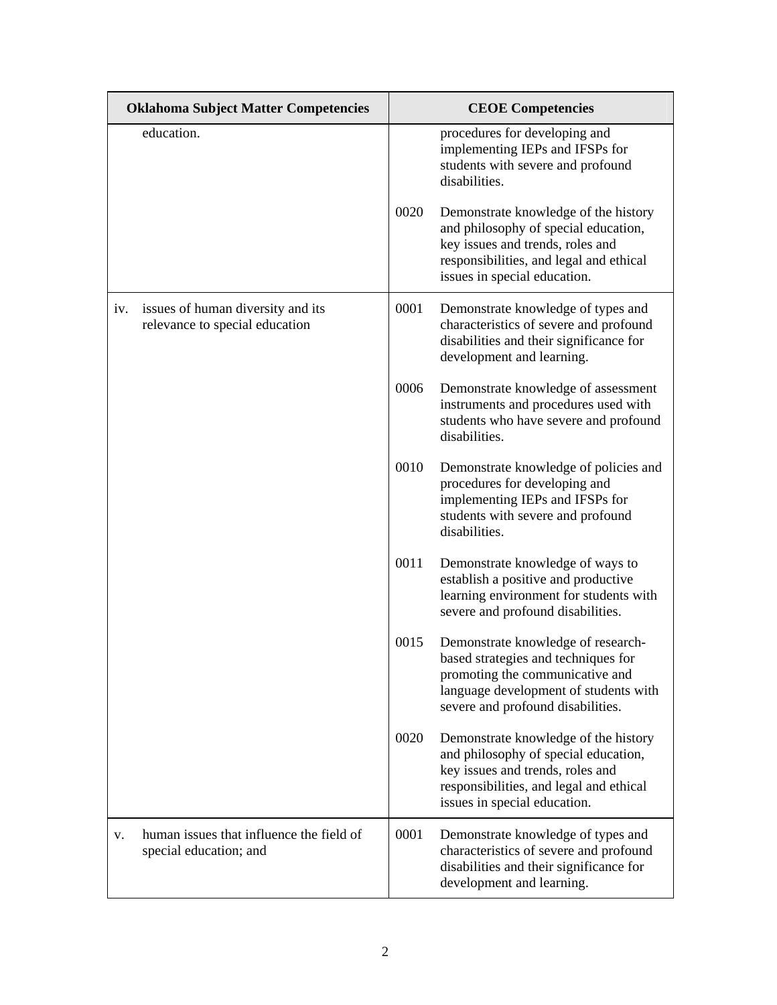| <b>Oklahoma Subject Matter Competencies</b>                                |      | <b>CEOE</b> Competencies                                                                                                                                                                    |  |
|----------------------------------------------------------------------------|------|---------------------------------------------------------------------------------------------------------------------------------------------------------------------------------------------|--|
| education.                                                                 |      | procedures for developing and<br>implementing IEPs and IFSPs for<br>students with severe and profound<br>disabilities.                                                                      |  |
|                                                                            | 0020 | Demonstrate knowledge of the history<br>and philosophy of special education,<br>key issues and trends, roles and<br>responsibilities, and legal and ethical<br>issues in special education. |  |
| issues of human diversity and its<br>iv.<br>relevance to special education | 0001 | Demonstrate knowledge of types and<br>characteristics of severe and profound<br>disabilities and their significance for<br>development and learning.                                        |  |
|                                                                            | 0006 | Demonstrate knowledge of assessment<br>instruments and procedures used with<br>students who have severe and profound<br>disabilities.                                                       |  |
|                                                                            | 0010 | Demonstrate knowledge of policies and<br>procedures for developing and<br>implementing IEPs and IFSPs for<br>students with severe and profound<br>disabilities.                             |  |
|                                                                            | 0011 | Demonstrate knowledge of ways to<br>establish a positive and productive<br>learning environment for students with<br>severe and profound disabilities.                                      |  |
|                                                                            | 0015 | Demonstrate knowledge of research-<br>based strategies and techniques for<br>promoting the communicative and<br>language development of students with<br>severe and profound disabilities.  |  |
|                                                                            | 0020 | Demonstrate knowledge of the history<br>and philosophy of special education,<br>key issues and trends, roles and<br>responsibilities, and legal and ethical<br>issues in special education. |  |
| human issues that influence the field of<br>V.<br>special education; and   | 0001 | Demonstrate knowledge of types and<br>characteristics of severe and profound<br>disabilities and their significance for<br>development and learning.                                        |  |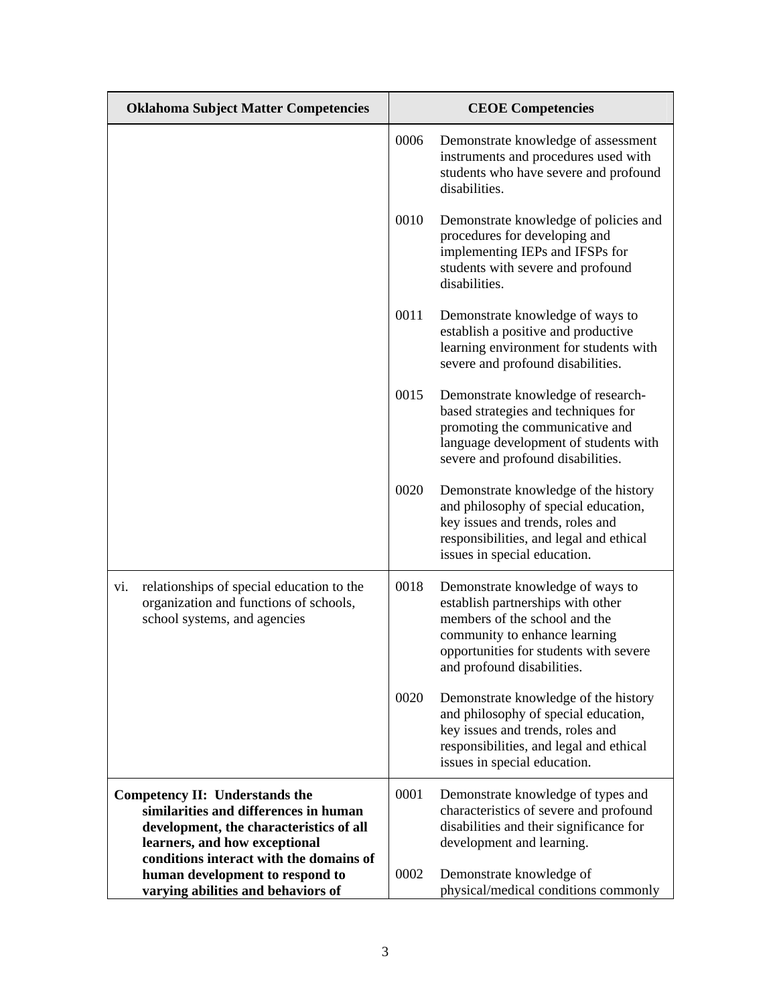| <b>Oklahoma Subject Matter Competencies</b>                                                                                |      | <b>CEOE Competencies</b>                                                                                                                                                                                        |
|----------------------------------------------------------------------------------------------------------------------------|------|-----------------------------------------------------------------------------------------------------------------------------------------------------------------------------------------------------------------|
|                                                                                                                            | 0006 | Demonstrate knowledge of assessment<br>instruments and procedures used with<br>students who have severe and profound<br>disabilities.                                                                           |
|                                                                                                                            | 0010 | Demonstrate knowledge of policies and<br>procedures for developing and<br>implementing IEPs and IFSPs for<br>students with severe and profound<br>disabilities.                                                 |
|                                                                                                                            | 0011 | Demonstrate knowledge of ways to<br>establish a positive and productive<br>learning environment for students with<br>severe and profound disabilities.                                                          |
|                                                                                                                            | 0015 | Demonstrate knowledge of research-<br>based strategies and techniques for<br>promoting the communicative and<br>language development of students with<br>severe and profound disabilities.                      |
|                                                                                                                            | 0020 | Demonstrate knowledge of the history<br>and philosophy of special education,<br>key issues and trends, roles and<br>responsibilities, and legal and ethical<br>issues in special education.                     |
| relationships of special education to the<br>vi.<br>organization and functions of schools,<br>school systems, and agencies | 0018 | Demonstrate knowledge of ways to<br>establish partnerships with other<br>members of the school and the<br>community to enhance learning<br>opportunities for students with severe<br>and profound disabilities. |
|                                                                                                                            | 0020 | Demonstrate knowledge of the history<br>and philosophy of special education,<br>key issues and trends, roles and<br>responsibilities, and legal and ethical<br>issues in special education.                     |
| Competency II: Understands the                                                                                             | 0001 | Demonstrate knowledge of types and                                                                                                                                                                              |
| similarities and differences in human                                                                                      |      | characteristics of severe and profound                                                                                                                                                                          |
| development, the characteristics of all                                                                                    |      | disabilities and their significance for                                                                                                                                                                         |
| learners, and how exceptional<br>conditions interact with the domains of                                                   |      | development and learning.                                                                                                                                                                                       |
| human development to respond to                                                                                            | 0002 | Demonstrate knowledge of                                                                                                                                                                                        |
| varying abilities and behaviors of                                                                                         |      | physical/medical conditions commonly                                                                                                                                                                            |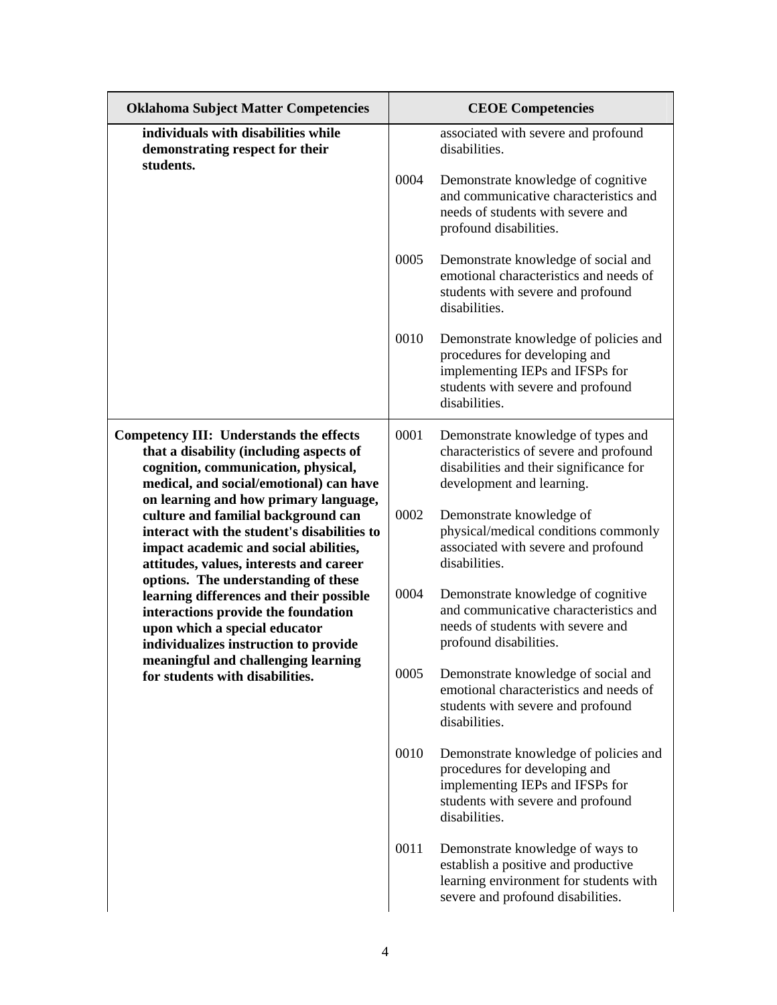| <b>Oklahoma Subject Matter Competencies</b>                                                                                                                                                                   |      | <b>CEOE Competencies</b>                                                                                                                                        |
|---------------------------------------------------------------------------------------------------------------------------------------------------------------------------------------------------------------|------|-----------------------------------------------------------------------------------------------------------------------------------------------------------------|
| individuals with disabilities while<br>demonstrating respect for their<br>students.                                                                                                                           |      | associated with severe and profound<br>disabilities.                                                                                                            |
|                                                                                                                                                                                                               | 0004 | Demonstrate knowledge of cognitive<br>and communicative characteristics and<br>needs of students with severe and<br>profound disabilities.                      |
|                                                                                                                                                                                                               | 0005 | Demonstrate knowledge of social and<br>emotional characteristics and needs of<br>students with severe and profound<br>disabilities.                             |
|                                                                                                                                                                                                               | 0010 | Demonstrate knowledge of policies and<br>procedures for developing and<br>implementing IEPs and IFSPs for<br>students with severe and profound<br>disabilities. |
| Competency III: Understands the effects<br>that a disability (including aspects of<br>cognition, communication, physical,<br>medical, and social/emotional) can have<br>on learning and how primary language, | 0001 | Demonstrate knowledge of types and<br>characteristics of severe and profound<br>disabilities and their significance for<br>development and learning.            |
| culture and familial background can<br>interact with the student's disabilities to<br>impact academic and social abilities,<br>attitudes, values, interests and career<br>options. The understanding of these | 0002 | Demonstrate knowledge of<br>physical/medical conditions commonly<br>associated with severe and profound<br>disabilities.                                        |
| learning differences and their possible<br>interactions provide the foundation<br>upon which a special educator<br>individualizes instruction to provide                                                      | 0004 | Demonstrate knowledge of cognitive<br>and communicative characteristics and<br>needs of students with severe and<br>profound disabilities.                      |
| meaningful and challenging learning<br>for students with disabilities.                                                                                                                                        | 0005 | Demonstrate knowledge of social and<br>emotional characteristics and needs of<br>students with severe and profound<br>disabilities.                             |
|                                                                                                                                                                                                               | 0010 | Demonstrate knowledge of policies and<br>procedures for developing and<br>implementing IEPs and IFSPs for<br>students with severe and profound<br>disabilities. |
|                                                                                                                                                                                                               | 0011 | Demonstrate knowledge of ways to<br>establish a positive and productive<br>learning environment for students with<br>severe and profound disabilities.          |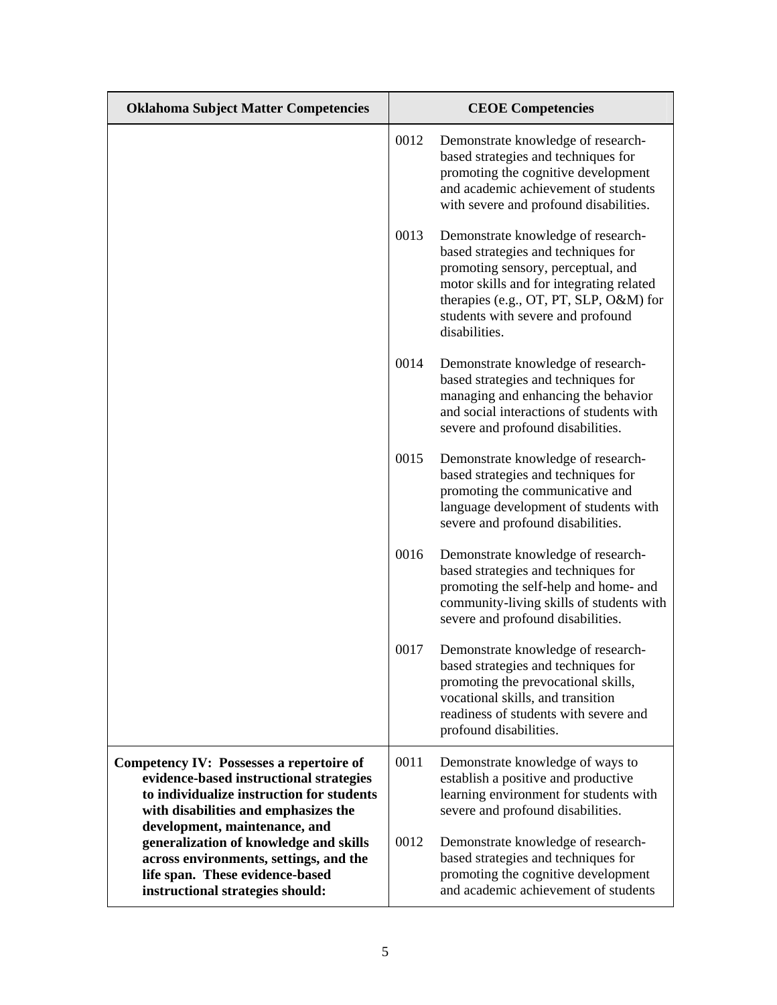| <b>Oklahoma Subject Matter Competencies</b>                                                                                                                                              |      | <b>CEOE</b> Competencies                                                                                                                                                                                                                                    |
|------------------------------------------------------------------------------------------------------------------------------------------------------------------------------------------|------|-------------------------------------------------------------------------------------------------------------------------------------------------------------------------------------------------------------------------------------------------------------|
|                                                                                                                                                                                          | 0012 | Demonstrate knowledge of research-<br>based strategies and techniques for<br>promoting the cognitive development<br>and academic achievement of students<br>with severe and profound disabilities.                                                          |
|                                                                                                                                                                                          | 0013 | Demonstrate knowledge of research-<br>based strategies and techniques for<br>promoting sensory, perceptual, and<br>motor skills and for integrating related<br>therapies (e.g., OT, PT, SLP, O&M) for<br>students with severe and profound<br>disabilities. |
|                                                                                                                                                                                          | 0014 | Demonstrate knowledge of research-<br>based strategies and techniques for<br>managing and enhancing the behavior<br>and social interactions of students with<br>severe and profound disabilities.                                                           |
|                                                                                                                                                                                          | 0015 | Demonstrate knowledge of research-<br>based strategies and techniques for<br>promoting the communicative and<br>language development of students with<br>severe and profound disabilities.                                                                  |
|                                                                                                                                                                                          | 0016 | Demonstrate knowledge of research-<br>based strategies and techniques for<br>promoting the self-help and home- and<br>community-living skills of students with<br>severe and profound disabilities.                                                         |
|                                                                                                                                                                                          | 0017 | Demonstrate knowledge of research-<br>based strategies and techniques for<br>promoting the prevocational skills,<br>vocational skills, and transition<br>readiness of students with severe and<br>profound disabilities.                                    |
| <b>Competency IV: Possesses a repertoire of</b><br>evidence-based instructional strategies<br>to individualize instruction for students<br>with disabilities and emphasizes the          | 0011 | Demonstrate knowledge of ways to<br>establish a positive and productive<br>learning environment for students with<br>severe and profound disabilities.                                                                                                      |
| development, maintenance, and<br>generalization of knowledge and skills<br>across environments, settings, and the<br>life span. These evidence-based<br>instructional strategies should: | 0012 | Demonstrate knowledge of research-<br>based strategies and techniques for<br>promoting the cognitive development<br>and academic achievement of students                                                                                                    |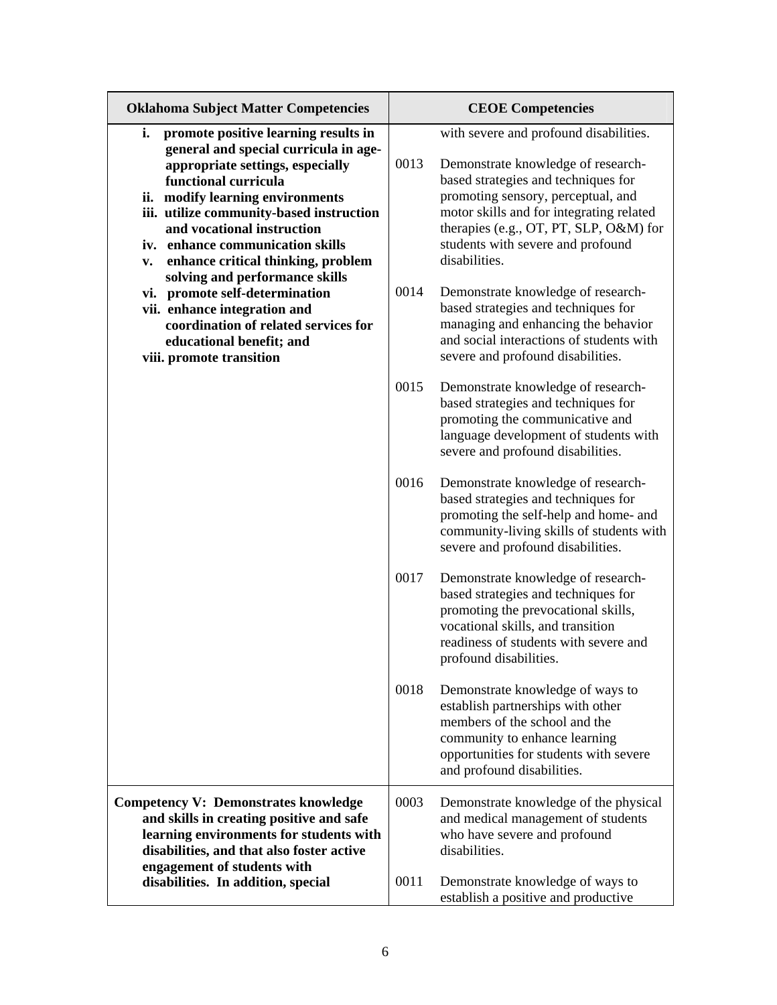| <b>Oklahoma Subject Matter Competencies</b>                                                                                                                                                                                                                                                                                                               |      | <b>CEOE Competencies</b>                                                                                                                                                                                                                                                                              |  |
|-----------------------------------------------------------------------------------------------------------------------------------------------------------------------------------------------------------------------------------------------------------------------------------------------------------------------------------------------------------|------|-------------------------------------------------------------------------------------------------------------------------------------------------------------------------------------------------------------------------------------------------------------------------------------------------------|--|
| i.<br>promote positive learning results in<br>general and special curricula in age-<br>appropriate settings, especially<br>functional curricula<br>ii. modify learning environments<br>iii. utilize community-based instruction<br>and vocational instruction<br>iv. enhance communication skills<br>enhance critical thinking, problem<br>$\mathbf{v}$ . | 0013 | with severe and profound disabilities.<br>Demonstrate knowledge of research-<br>based strategies and techniques for<br>promoting sensory, perceptual, and<br>motor skills and for integrating related<br>therapies (e.g., OT, PT, SLP, O&M) for<br>students with severe and profound<br>disabilities. |  |
| solving and performance skills<br>vi. promote self-determination<br>vii. enhance integration and<br>coordination of related services for<br>educational benefit; and<br>viii. promote transition                                                                                                                                                          | 0014 | Demonstrate knowledge of research-<br>based strategies and techniques for<br>managing and enhancing the behavior<br>and social interactions of students with<br>severe and profound disabilities.                                                                                                     |  |
|                                                                                                                                                                                                                                                                                                                                                           | 0015 | Demonstrate knowledge of research-<br>based strategies and techniques for<br>promoting the communicative and<br>language development of students with<br>severe and profound disabilities.                                                                                                            |  |
|                                                                                                                                                                                                                                                                                                                                                           | 0016 | Demonstrate knowledge of research-<br>based strategies and techniques for<br>promoting the self-help and home- and<br>community-living skills of students with<br>severe and profound disabilities.                                                                                                   |  |
|                                                                                                                                                                                                                                                                                                                                                           | 0017 | Demonstrate knowledge of research-<br>based strategies and techniques for<br>promoting the prevocational skills,<br>vocational skills, and transition<br>readiness of students with severe and<br>profound disabilities.                                                                              |  |
|                                                                                                                                                                                                                                                                                                                                                           | 0018 | Demonstrate knowledge of ways to<br>establish partnerships with other<br>members of the school and the<br>community to enhance learning<br>opportunities for students with severe<br>and profound disabilities.                                                                                       |  |
| <b>Competency V: Demonstrates knowledge</b><br>and skills in creating positive and safe<br>learning environments for students with<br>disabilities, and that also foster active                                                                                                                                                                           | 0003 | Demonstrate knowledge of the physical<br>and medical management of students<br>who have severe and profound<br>disabilities.                                                                                                                                                                          |  |
| engagement of students with<br>disabilities. In addition, special                                                                                                                                                                                                                                                                                         | 0011 | Demonstrate knowledge of ways to<br>establish a positive and productive                                                                                                                                                                                                                               |  |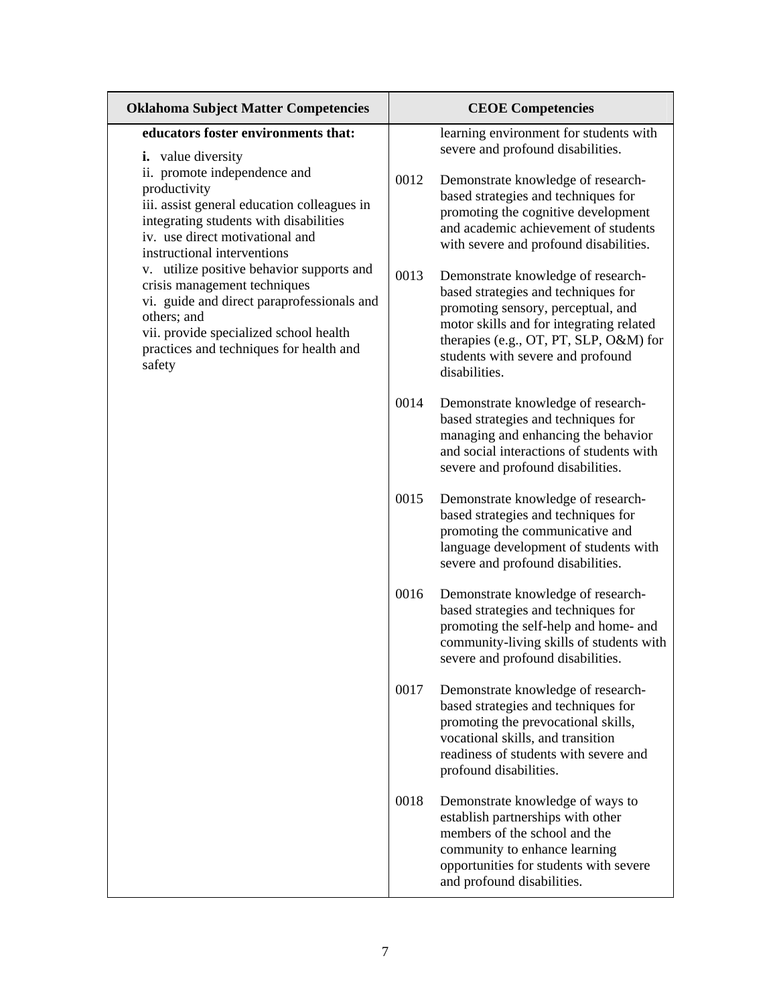| <b>Oklahoma Subject Matter Competencies</b>                                                                                                                                                                                           |      | <b>CEOE Competencies</b>                                                                                                                                                                                                                                    |  |
|---------------------------------------------------------------------------------------------------------------------------------------------------------------------------------------------------------------------------------------|------|-------------------------------------------------------------------------------------------------------------------------------------------------------------------------------------------------------------------------------------------------------------|--|
| educators foster environments that:<br><i>i.</i> value diversity                                                                                                                                                                      |      | learning environment for students with<br>severe and profound disabilities.                                                                                                                                                                                 |  |
| ii. promote independence and<br>productivity<br>iii. assist general education colleagues in<br>integrating students with disabilities<br>iv. use direct motivational and<br>instructional interventions                               | 0012 | Demonstrate knowledge of research-<br>based strategies and techniques for<br>promoting the cognitive development<br>and academic achievement of students<br>with severe and profound disabilities.                                                          |  |
| v. utilize positive behavior supports and<br>crisis management techniques<br>vi. guide and direct paraprofessionals and<br>others; and<br>vii. provide specialized school health<br>practices and techniques for health and<br>safety | 0013 | Demonstrate knowledge of research-<br>based strategies and techniques for<br>promoting sensory, perceptual, and<br>motor skills and for integrating related<br>therapies (e.g., OT, PT, SLP, O&M) for<br>students with severe and profound<br>disabilities. |  |
|                                                                                                                                                                                                                                       | 0014 | Demonstrate knowledge of research-<br>based strategies and techniques for<br>managing and enhancing the behavior<br>and social interactions of students with<br>severe and profound disabilities.                                                           |  |
|                                                                                                                                                                                                                                       | 0015 | Demonstrate knowledge of research-<br>based strategies and techniques for<br>promoting the communicative and<br>language development of students with<br>severe and profound disabilities.                                                                  |  |
|                                                                                                                                                                                                                                       | 0016 | Demonstrate knowledge of research-<br>based strategies and techniques for<br>promoting the self-help and home- and<br>community-living skills of students with<br>severe and profound disabilities.                                                         |  |
|                                                                                                                                                                                                                                       | 0017 | Demonstrate knowledge of research-<br>based strategies and techniques for<br>promoting the prevocational skills,<br>vocational skills, and transition<br>readiness of students with severe and<br>profound disabilities.                                    |  |
|                                                                                                                                                                                                                                       | 0018 | Demonstrate knowledge of ways to<br>establish partnerships with other<br>members of the school and the<br>community to enhance learning<br>opportunities for students with severe<br>and profound disabilities.                                             |  |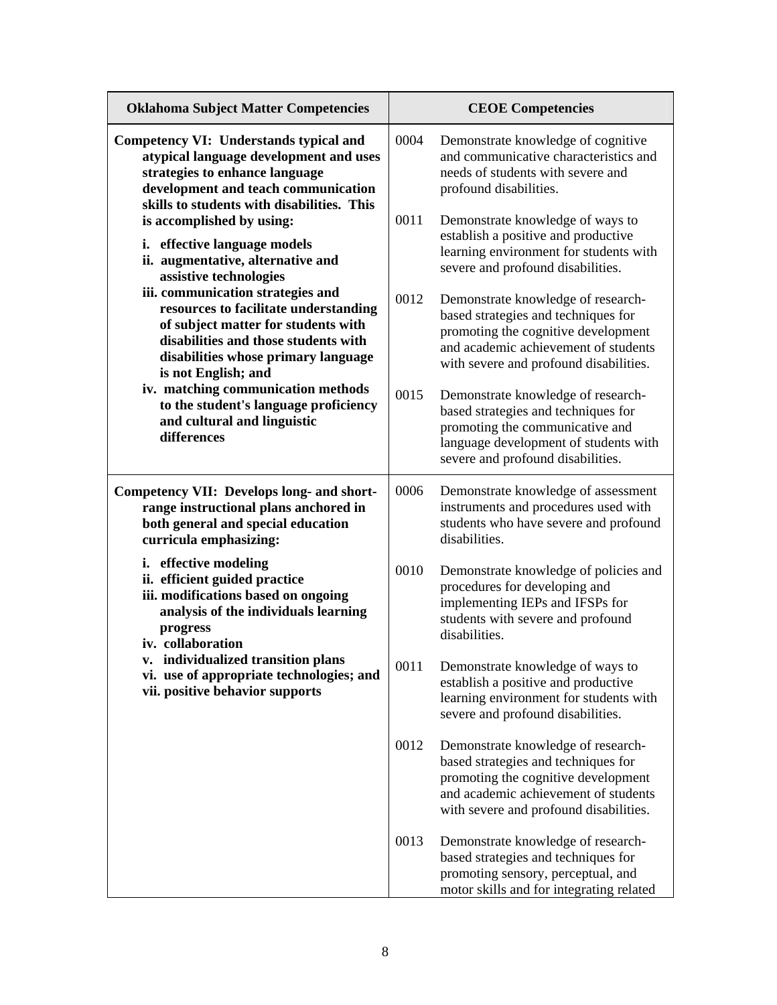| <b>Oklahoma Subject Matter Competencies</b>                                                                                                                                                                             |      | <b>CEOE Competencies</b>                                                                                                                                                                           |
|-------------------------------------------------------------------------------------------------------------------------------------------------------------------------------------------------------------------------|------|----------------------------------------------------------------------------------------------------------------------------------------------------------------------------------------------------|
| <b>Competency VI: Understands typical and</b><br>atypical language development and uses<br>strategies to enhance language<br>development and teach communication<br>skills to students with disabilities. This          | 0004 | Demonstrate knowledge of cognitive<br>and communicative characteristics and<br>needs of students with severe and<br>profound disabilities.                                                         |
| is accomplished by using:<br>i. effective language models<br>ii. augmentative, alternative and<br>assistive technologies                                                                                                | 0011 | Demonstrate knowledge of ways to<br>establish a positive and productive<br>learning environment for students with<br>severe and profound disabilities.                                             |
| iii. communication strategies and<br>resources to facilitate understanding<br>of subject matter for students with<br>disabilities and those students with<br>disabilities whose primary language<br>is not English; and | 0012 | Demonstrate knowledge of research-<br>based strategies and techniques for<br>promoting the cognitive development<br>and academic achievement of students<br>with severe and profound disabilities. |
| iv. matching communication methods<br>to the student's language proficiency<br>and cultural and linguistic<br>differences                                                                                               | 0015 | Demonstrate knowledge of research-<br>based strategies and techniques for<br>promoting the communicative and<br>language development of students with<br>severe and profound disabilities.         |
| Competency VII: Develops long- and short-<br>range instructional plans anchored in<br>both general and special education<br>curricula emphasizing:                                                                      | 0006 | Demonstrate knowledge of assessment<br>instruments and procedures used with<br>students who have severe and profound<br>disabilities.                                                              |
| i. effective modeling<br>ii. efficient guided practice<br>iii. modifications based on ongoing<br>analysis of the individuals learning<br>progress<br>iv. collaboration                                                  | 0010 | Demonstrate knowledge of policies and<br>procedures for developing and<br>implementing IEPs and IFSPs for<br>students with severe and profound<br>disabilities.                                    |
| v. individualized transition plans<br>vi. use of appropriate technologies; and<br>vii. positive behavior supports                                                                                                       | 0011 | Demonstrate knowledge of ways to<br>establish a positive and productive<br>learning environment for students with<br>severe and profound disabilities.                                             |
|                                                                                                                                                                                                                         | 0012 | Demonstrate knowledge of research-<br>based strategies and techniques for<br>promoting the cognitive development<br>and academic achievement of students<br>with severe and profound disabilities. |
|                                                                                                                                                                                                                         | 0013 | Demonstrate knowledge of research-<br>based strategies and techniques for<br>promoting sensory, perceptual, and<br>motor skills and for integrating related                                        |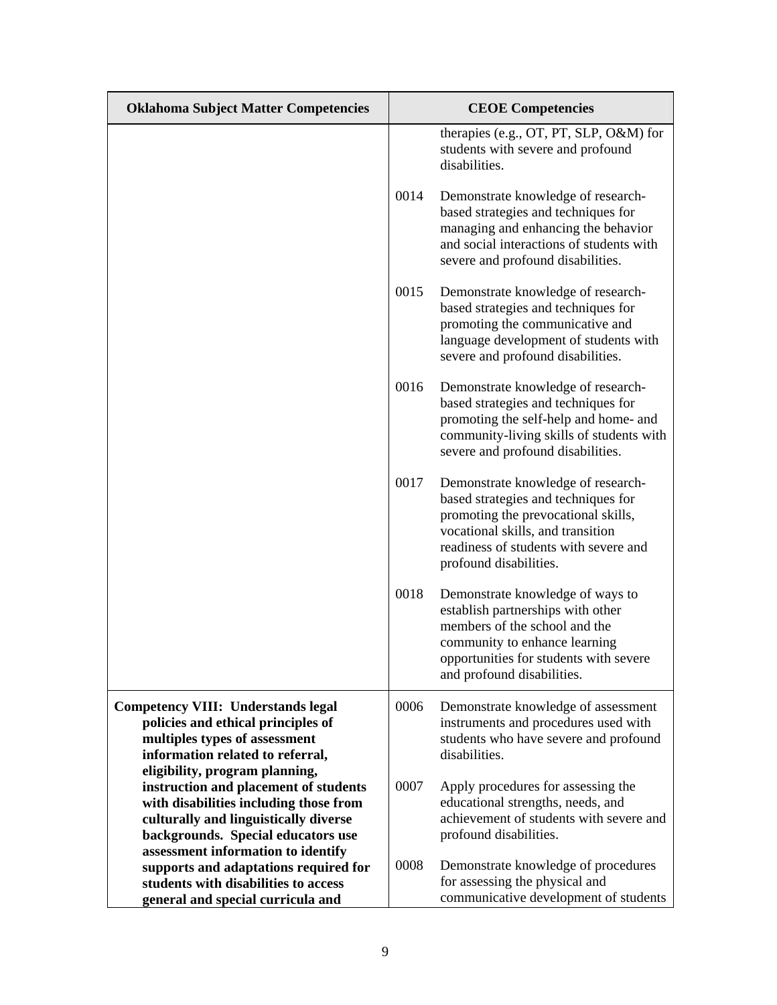| <b>Oklahoma Subject Matter Competencies</b>                             |      | <b>CEOE</b> Competencies                                                                                                                                                                                                 |
|-------------------------------------------------------------------------|------|--------------------------------------------------------------------------------------------------------------------------------------------------------------------------------------------------------------------------|
|                                                                         |      | therapies (e.g., OT, PT, SLP, O&M) for<br>students with severe and profound<br>disabilities.                                                                                                                             |
|                                                                         | 0014 | Demonstrate knowledge of research-<br>based strategies and techniques for<br>managing and enhancing the behavior<br>and social interactions of students with<br>severe and profound disabilities.                        |
|                                                                         | 0015 | Demonstrate knowledge of research-<br>based strategies and techniques for<br>promoting the communicative and<br>language development of students with<br>severe and profound disabilities.                               |
|                                                                         | 0016 | Demonstrate knowledge of research-<br>based strategies and techniques for<br>promoting the self-help and home- and<br>community-living skills of students with<br>severe and profound disabilities.                      |
|                                                                         | 0017 | Demonstrate knowledge of research-<br>based strategies and techniques for<br>promoting the prevocational skills,<br>vocational skills, and transition<br>readiness of students with severe and<br>profound disabilities. |
|                                                                         | 0018 | Demonstrate knowledge of ways to<br>establish partnerships with other<br>members of the school and the<br>community to enhance learning<br>opportunities for students with severe<br>and profound disabilities.          |
| <b>Competency VIII: Understands legal</b>                               | 0006 | Demonstrate knowledge of assessment                                                                                                                                                                                      |
| policies and ethical principles of                                      |      | instruments and procedures used with                                                                                                                                                                                     |
| multiples types of assessment                                           |      | students who have severe and profound                                                                                                                                                                                    |
| information related to referral,                                        |      | disabilities.                                                                                                                                                                                                            |
| eligibility, program planning,<br>instruction and placement of students | 0007 | Apply procedures for assessing the                                                                                                                                                                                       |
| with disabilities including those from                                  |      | educational strengths, needs, and                                                                                                                                                                                        |
| culturally and linguistically diverse                                   |      | achievement of students with severe and                                                                                                                                                                                  |
| backgrounds. Special educators use                                      |      | profound disabilities.                                                                                                                                                                                                   |
| assessment information to identify                                      |      |                                                                                                                                                                                                                          |
| supports and adaptations required for                                   | 0008 | Demonstrate knowledge of procedures                                                                                                                                                                                      |
| students with disabilities to access                                    |      | for assessing the physical and<br>communicative development of students                                                                                                                                                  |
| general and special curricula and                                       |      |                                                                                                                                                                                                                          |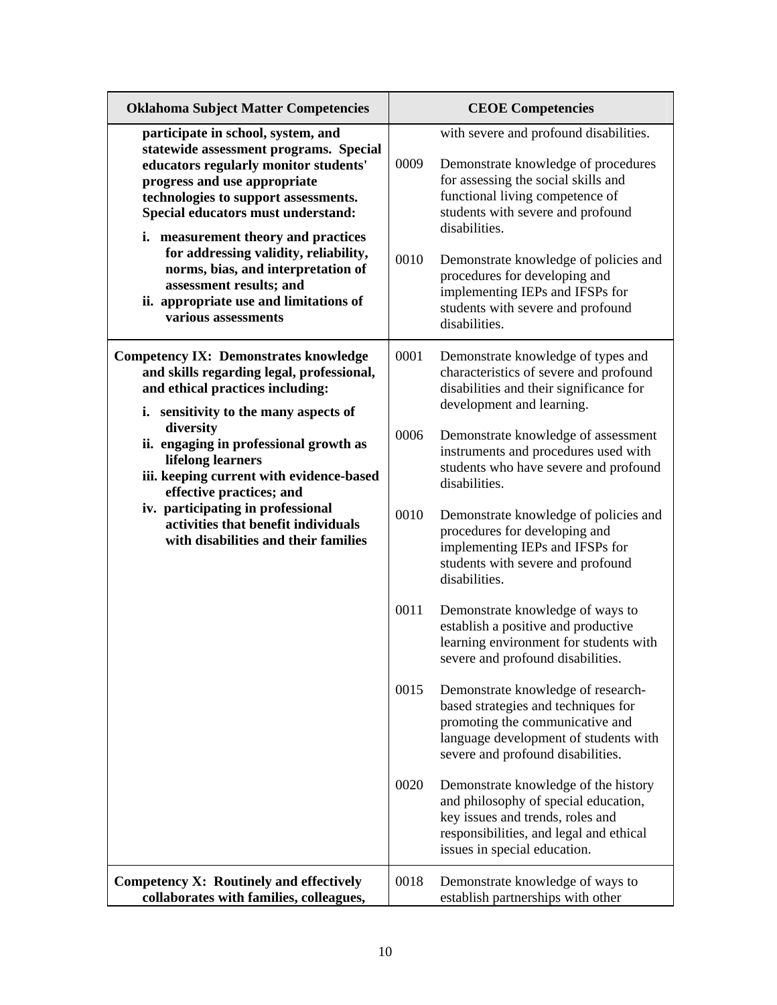| <b>Oklahoma Subject Matter Competencies</b>                                                                                                                                                                                                                                                                                                                                                                                                           |                                              | <b>CEOE Competencies</b>                                                                                                                                                                                                                                                                                                                                                                                                                                                                                                                                                                                                                                                                                                                                                                                                                                                                                                                                                                                                |  |
|-------------------------------------------------------------------------------------------------------------------------------------------------------------------------------------------------------------------------------------------------------------------------------------------------------------------------------------------------------------------------------------------------------------------------------------------------------|----------------------------------------------|-------------------------------------------------------------------------------------------------------------------------------------------------------------------------------------------------------------------------------------------------------------------------------------------------------------------------------------------------------------------------------------------------------------------------------------------------------------------------------------------------------------------------------------------------------------------------------------------------------------------------------------------------------------------------------------------------------------------------------------------------------------------------------------------------------------------------------------------------------------------------------------------------------------------------------------------------------------------------------------------------------------------------|--|
| participate in school, system, and<br>statewide assessment programs. Special<br>educators regularly monitor students'<br>progress and use appropriate<br>technologies to support assessments.<br>Special educators must understand:<br>i. measurement theory and practices<br>for addressing validity, reliability,<br>norms, bias, and interpretation of<br>assessment results; and<br>ii. appropriate use and limitations of<br>various assessments | 0009<br>0010                                 | with severe and profound disabilities.<br>Demonstrate knowledge of procedures<br>for assessing the social skills and<br>functional living competence of<br>students with severe and profound<br>disabilities.<br>Demonstrate knowledge of policies and<br>procedures for developing and<br>implementing IEPs and IFSPs for<br>students with severe and profound<br>disabilities.                                                                                                                                                                                                                                                                                                                                                                                                                                                                                                                                                                                                                                        |  |
| <b>Competency IX: Demonstrates knowledge</b><br>and skills regarding legal, professional,<br>and ethical practices including:<br>i. sensitivity to the many aspects of<br>diversity<br>ii. engaging in professional growth as<br>lifelong learners<br>iii. keeping current with evidence-based<br>effective practices; and<br>iv. participating in professional<br>activities that benefit individuals<br>with disabilities and their families        | 0001<br>0006<br>0010<br>0011<br>0015<br>0020 | Demonstrate knowledge of types and<br>characteristics of severe and profound<br>disabilities and their significance for<br>development and learning.<br>Demonstrate knowledge of assessment<br>instruments and procedures used with<br>students who have severe and profound<br>disabilities.<br>Demonstrate knowledge of policies and<br>procedures for developing and<br>implementing IEPs and IFSPs for<br>students with severe and profound<br>disabilities.<br>Demonstrate knowledge of ways to<br>establish a positive and productive<br>learning environment for students with<br>severe and profound disabilities.<br>Demonstrate knowledge of research-<br>based strategies and techniques for<br>promoting the communicative and<br>language development of students with<br>severe and profound disabilities.<br>Demonstrate knowledge of the history<br>and philosophy of special education,<br>key issues and trends, roles and<br>responsibilities, and legal and ethical<br>issues in special education. |  |
| Competency X: Routinely and effectively<br>collaborates with families, colleagues,                                                                                                                                                                                                                                                                                                                                                                    | 0018                                         | Demonstrate knowledge of ways to<br>establish partnerships with other                                                                                                                                                                                                                                                                                                                                                                                                                                                                                                                                                                                                                                                                                                                                                                                                                                                                                                                                                   |  |